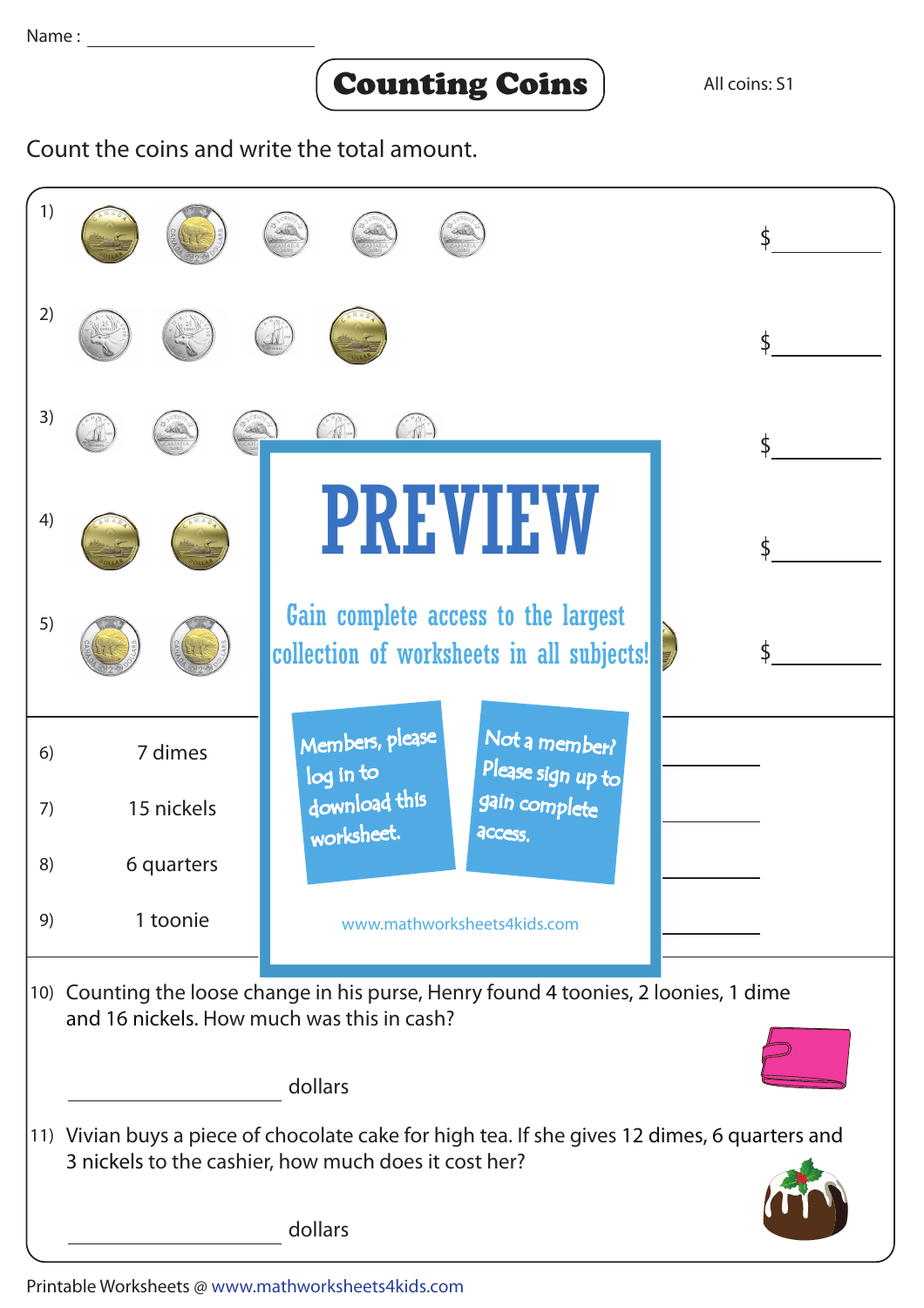## Counting Coins

Count the coins and write the total amount.